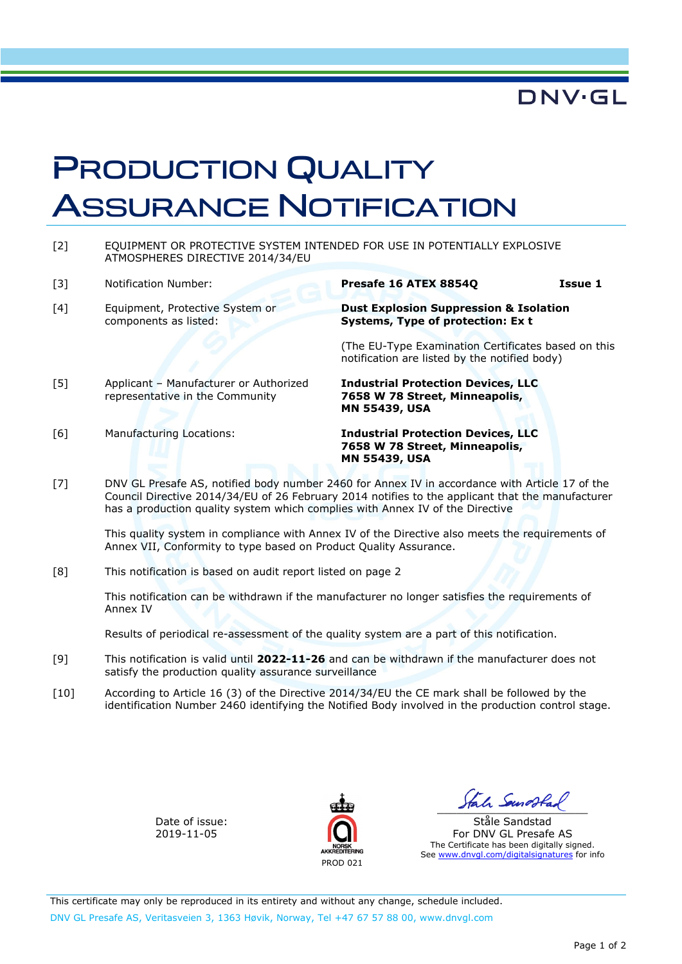## **DNV·GL**

## PRODUCTION QUALITY ASSURANCE NOTIFICATION

- [2] EQUIPMENT OR PROTECTIVE SYSTEM INTENDED FOR USE IN POTENTIALLY EXPLOSIVE ATMOSPHERES DIRECTIVE 2014/34/EU
- [3] Notification Number: **Presafe 16 ATEX 8854Q Issue 1**
- [4] Equipment, Protective System or components as listed:
- **Dust Explosion Suppression & Isolation Systems, Type of protection: Ex t**

(The EU-Type Examination Certificates based on this notification are listed by the notified body)

- [5] Applicant Manufacturer or Authorized representative in the Community
- 

[6] Manufacturing Locations: **Industrial Protection Devices, LLC 7658 W 78 Street, Minneapolis, MN 55439, USA** 

**Industrial Protection Devices, LLC 7658 W 78 Street, Minneapolis,** 

[7] DNV GL Presafe AS, notified body number 2460 for Annex IV in accordance with Article 17 of the Council Directive 2014/34/EU of 26 February 2014 notifies to the applicant that the manufacturer has a production quality system which complies with Annex IV of the Directive

This quality system in compliance with Annex IV of the Directive also meets the requirements of Annex VII, Conformity to type based on Product Quality Assurance.

**MN 55439, USA** 

[8] This notification is based on audit report listed on page 2

This notification can be withdrawn if the manufacturer no longer satisfies the requirements of Annex IV

Results of periodical re-assessment of the quality system are a part of this notification.

- [9] This notification is valid until **2022-11-26** and can be withdrawn if the manufacturer does not satisfy the production quality assurance surveillance
- [10] According to Article 16 (3) of the Directive 2014/34/EU the CE mark shall be followed by the identification Number 2460 identifying the Notified Body involved in the production control stage.

Date of issue: 2019-11-05



 $\frac{1}{2}$ 

Ståle Sandstad For DNV GL Presafe AS The Certificate has been digitally signed. See www.dnvgl.com/digitalsignatures for info

This certificate may only be reproduced in its entirety and without any change, schedule included. DNV GL Presafe AS, Veritasveien 3, 1363 Høvik, Norway, Tel +47 67 57 88 00, www.dnvgl.com